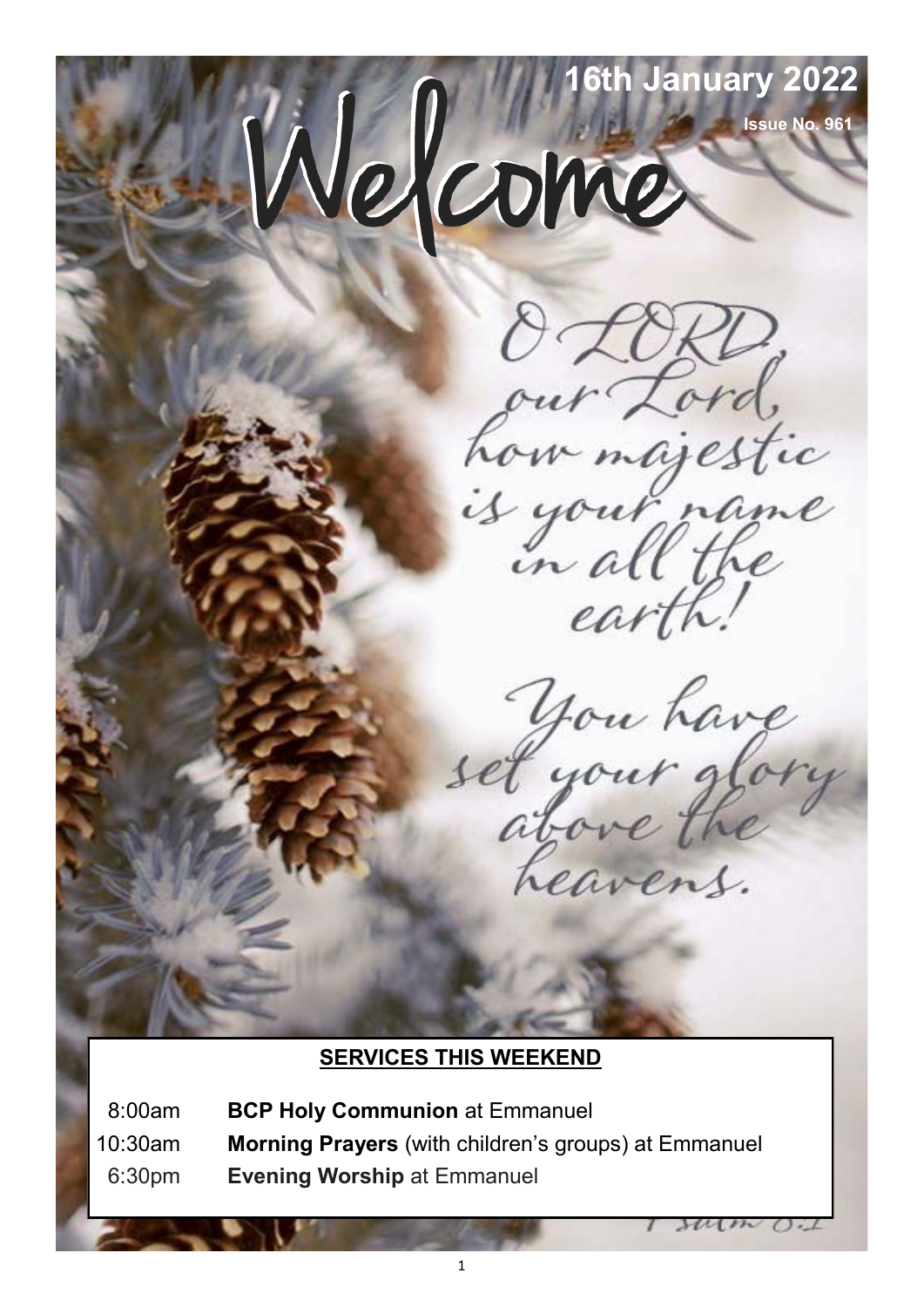# **16th January 2022** Nelcome

**Issue No. 961**

our Lord,<br>how majestic<br>is your name<br>in all the

earth.

you have<br>set your glory

Leavens.

 $301m$ 

#### **SERVICES THIS WEEKEND**

08:00am **BCP Holy Communion** at Emmanuel 10:30am **Morning Prayers** (with children's groups) at Emmanuel 06:30pm **Evening Worship** at Emmanuel

1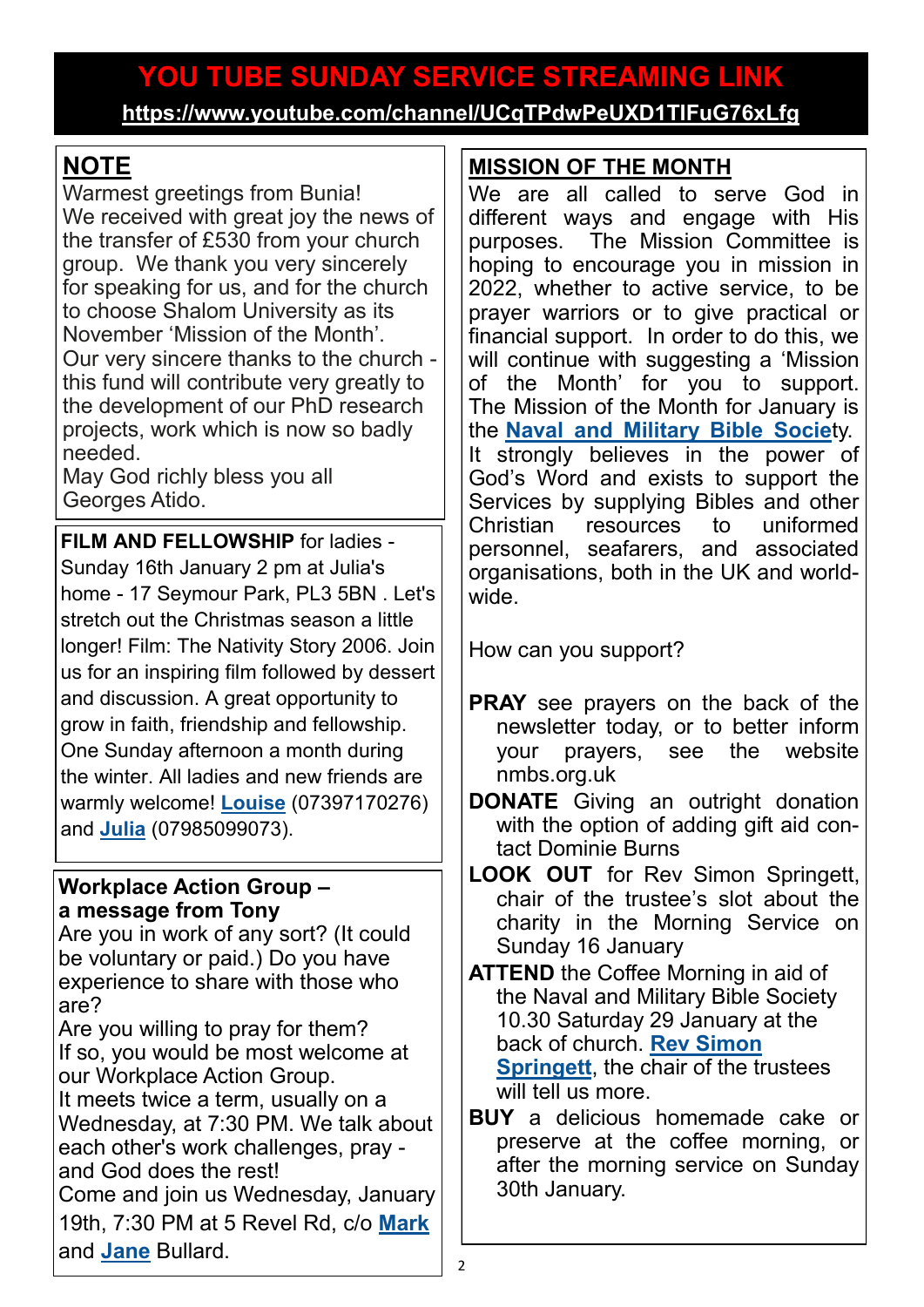# **YOU TUBE SUNDAY SERVICE STREAMING LINK**

**<https://www.youtube.com/channel/UCqTPdwPeUXD1TIFuG76xLfg>**

## **NOTE**

Warmest greetings from Bunia! We received with great joy the news of the transfer of £530 from your church group. We thank you very sincerely for speaking for us, and for the church to choose Shalom University as its November 'Mission of the Month'. Our very sincere thanks to the church this fund will contribute very greatly to the development of our PhD research projects, work which is now so badly needed.

May God richly bless you all Georges Atido.

**FILM AND FELLOWSHIP** for ladies - Sunday 16th January 2 pm at Julia's home - 17 Seymour Park, PL3 5BN . Let's stretch out the Christmas season a little longer! Film: The Nativity Story 2006. Join us for an inspiring film followed by dessert and discussion. A great opportunity to grow in faith, friendship and fellowship. One Sunday afternoon a month during the winter. All ladies and new friends are warmly welcome! **[Louise](mailto:louisemuskaan@gmail.com)** (07397170276) and **[Julia](mailto:juliaberesford@hotmail.com)** (07985099073).

#### **Workplace Action Group – a message from Tony**

Are you in work of any sort? (It could be voluntary or paid.) Do you have experience to share with those who are?

Are you willing to pray for them? If so, you would be most welcome at our Workplace Action Group.

It meets twice a term, usually on a Wednesday, at 7:30 PM. We talk about each other's work challenges, pray -

and God does the rest! Come and join us Wednesday, January 19th, 7:30 PM at 5 Revel Rd, c/o **[Mark](mailto:edm.bullard@hotmail.co.uk)** and **[Jane](mailto:midgej31@yahoo.co.uk)** Bullard.

#### **MISSION OF THE MONTH**

We are all called to serve God in different ways and engage with His purposes. The Mission Committee is hoping to encourage you in mission in 2022, whether to active service, to be prayer warriors or to give practical or financial support. In order to do this, we will continue with suggesting a 'Mission of the Month' for you to support. The Mission of the Month for January is the **[Naval and Military Bible Socie](https://nmbs.org.uk/)**ty. It strongly believes in the power of God's Word and exists to support the Services by supplying Bibles and other Christian resources to uniformed personnel, seafarers, and associated organisations, both in the UK and worldwide.

How can you support?

- **PRAY** see prayers on the back of the newsletter today, or to better inform your prayers, see the website nmbs.org.uk
- **DONATE** Giving an outright donation with the option of adding gift aid contact Dominie Burns
- **LOOK OUT** for Rev Simon Springett, chair of the trustee's slot about the charity in the Morning Service on Sunday 16 January

**ATTEND** the Coffee Morning in aid of the Naval and Military Bible Society 10.30 Saturday 29 January at the back of church. **[Rev Simon](mailto:simonspringett@yahoo.com)  [Springett](mailto:simonspringett@yahoo.com)**, the chair of the trustees will tell us more.

**BUY** a delicious homemade cake or preserve at the coffee morning, or after the morning service on Sunday 30th January.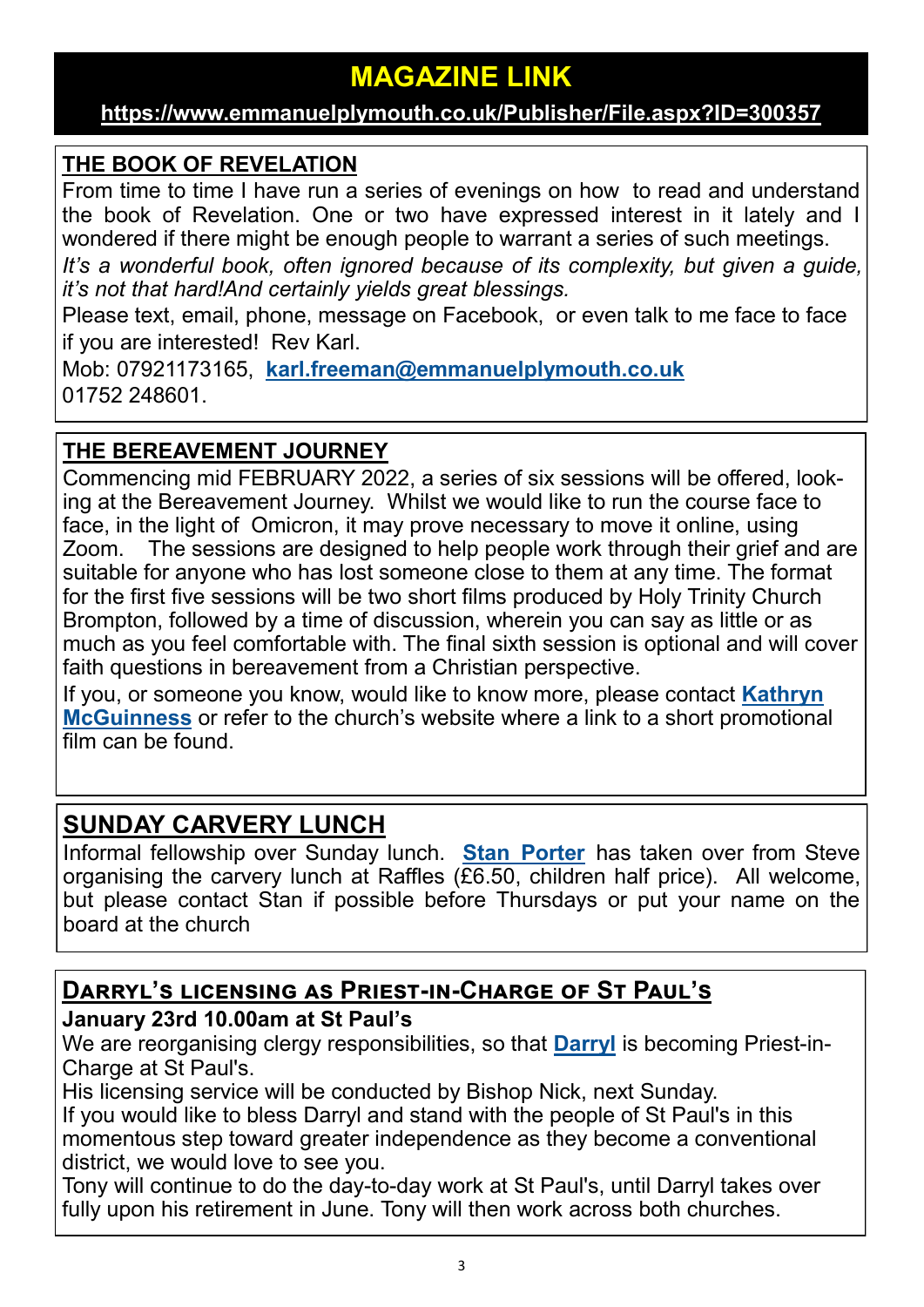### **MAGAZINE LINK**

#### **[https://www.emmanuelplymouth.co.uk/Publisher/File.aspx?ID=300357](https://emmanuelplymouth.co.uk/Publisher/File.aspx?ID=300357)**

#### **THE BOOK OF REVELATION**

From time to time I have run a series of evenings on how to read and understand the book of Revelation. One or two have expressed interest in it lately and I wondered if there might be enough people to warrant a series of such meetings. *It*'s a wonderful book, often ignored because of its complexity, but given a guide,

*it's not that hard!And certainly yields great blessings.* 

Please text, email, phone, message on Facebook, or even talk to me face to face if you are interested! Rev Karl.

Mob: 07921173165, **[karl.freeman@emmanuelplymouth.co.uk](mailto:karl.freeman@emmanuelplymouth.co.uk)** 01752 248601.

#### **THE BEREAVEMENT JOURNEY**

Commencing mid FEBRUARY 2022, a series of six sessions will be offered, looking at the Bereavement Journey. Whilst we would like to run the course face to face, in the light of Omicron, it may prove necessary to move it online, using Zoom. The sessions are designed to help people work through their grief and are suitable for anyone who has lost someone close to them at any time. The format for the first five sessions will be two short films produced by Holy Trinity Church Brompton, followed by a time of discussion, wherein you can say as little or as much as you feel comfortable with. The final sixth session is optional and will cover faith questions in bereavement from a Christian perspective.

If you, or someone you know, would like to know more, please contact **[Kathryn](mailto:kmcguinness59@gmail.com)  [McGuinness](mailto:kmcguinness59@gmail.com)** or refer to the church's website where a link to a short promotional film can be found.

#### **SUNDAY CARVERY LUNCH**

Informal fellowship over Sunday lunch. **[Stan Porter](mailto:stanlaptop@blueyonder.co.uk)** has taken over from Steve organising the carvery lunch at Raffles  $(E6.50, children)$  half price). All welcome, but please contact Stan if possible before Thursdays or put your name on the board at the church

#### **Darryl's licensing as Priest-in-Charge of St Paul's**

#### **January 23rd 10.00am at St Paul's**

We are reorganising clergy responsibilities, so that **[Darryl](mailto:darryl.cree@emmanuelplymouth.co.uk)** is becoming Priest-in-Charge at St Paul's.

His licensing service will be conducted by Bishop Nick, next Sunday.

If you would like to bless Darryl and stand with the people of St Paul's in this momentous step toward greater independence as they become a conventional district, we would love to see you.

Tony will continue to do the day-to-day work at St Paul's, until Darryl takes over fully upon his retirement in June. Tony will then work across both churches.